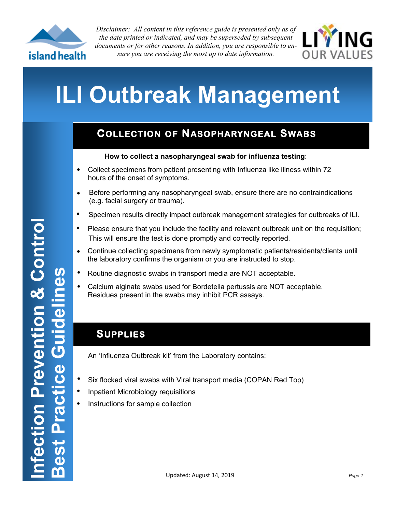

*Disclaimer: All content in this reference guide is presented only as of the date printed or indicated, and may be superseded by subsequent documents or for other reasons. In addition, you are responsible to ensure you are receiving the most up to date information.*



# **ILI Outbreak Management**

### **COLLECTION OF NASOPHARYNGEAL SWABS**

#### **How to collect a nasopharyngeal swab for influenza testing**:

- $\bullet$ Collect specimens from patient presenting with Influenza like illness within 72 hours of the onset of symptoms.
- Before performing any nasopharyngeal swab, ensure there are no contraindications  $\bullet$ (e.g. facial surgery or trauma).
- $\bullet$ Specimen results directly impact outbreak management strategies for outbreaks of ILI.
- $\bullet$ Please ensure that you include the facility and relevant outbreak unit on the requisition; This will ensure the test is done promptly and correctly reported.
- $\bullet$ Continue collecting specimens from newly symptomatic patients/residents/clients until the laboratory confirms the organism or you are instructed to stop.
- $\bullet$ Routine diagnostic swabs in transport media are NOT acceptable.
- $\bullet$ Calcium alginate swabs used for Bordetella pertussis are NOT acceptable. Residues present in the swabs may inhibit PCR assays.

#### **SUPPLIES**

An 'Influenza Outbreak kit' from the Laboratory contains:

- $\bullet$ Six flocked viral swabs with Viral transport media (COPAN Red Top)
- $\bullet$ Inpatient Microbiology requisitions
- Instructions for sample collection  $\bullet$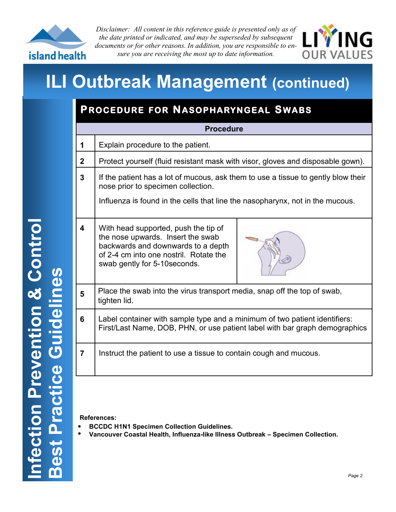

*Disclaimer: All content in this reference guide is presented only as of the date printed or indicated, and may be superseded by subsequent documents or for other reasons. In addition, you are responsible to ensure you are receiving the most up to date information.*



### **ILI Outbreak Management (continued)**

### **P ROCEDURE FOR NASOPHARYNGEAL SWABS**

| <b>Procedure</b> |                                                                                                                                                                                                          |
|------------------|----------------------------------------------------------------------------------------------------------------------------------------------------------------------------------------------------------|
| 1                | Explain procedure to the patient.                                                                                                                                                                        |
| $\mathbf{2}$     | Protect yourself (fluid resistant mask with visor, gloves and disposable gown).                                                                                                                          |
| 3                | If the patient has a lot of mucous, ask them to use a tissue to gently blow their<br>nose prior to specimen collection.<br>Influenza is found in the cells that line the nasopharynx, not in the mucous. |
| 4                | With head supported, push the tip of<br>the nose upwards. Insert the swab<br>backwards and downwards to a depth<br>of 2-4 cm into one nostril. Rotate the<br>swab gently for 5-10 seconds.               |
| 5                | Place the swab into the virus transport media, snap off the top of swab,<br>tighten lid.                                                                                                                 |
| 6                | Label container with sample type and a minimum of two patient identifiers:<br>First/Last Name, DOB, PHN, or use patient label with bar graph demographics                                                |
| 7                | Instruct the patient to use a tissue to contain cough and mucous.                                                                                                                                        |
|                  |                                                                                                                                                                                                          |

**References:** 

- **BCCDC H1N1 Specimen Collection Guidelines.**   $\bullet$
- **Vancouver Coastal Health, Influenza-like Illness Outbreak – Specimen Collection.**